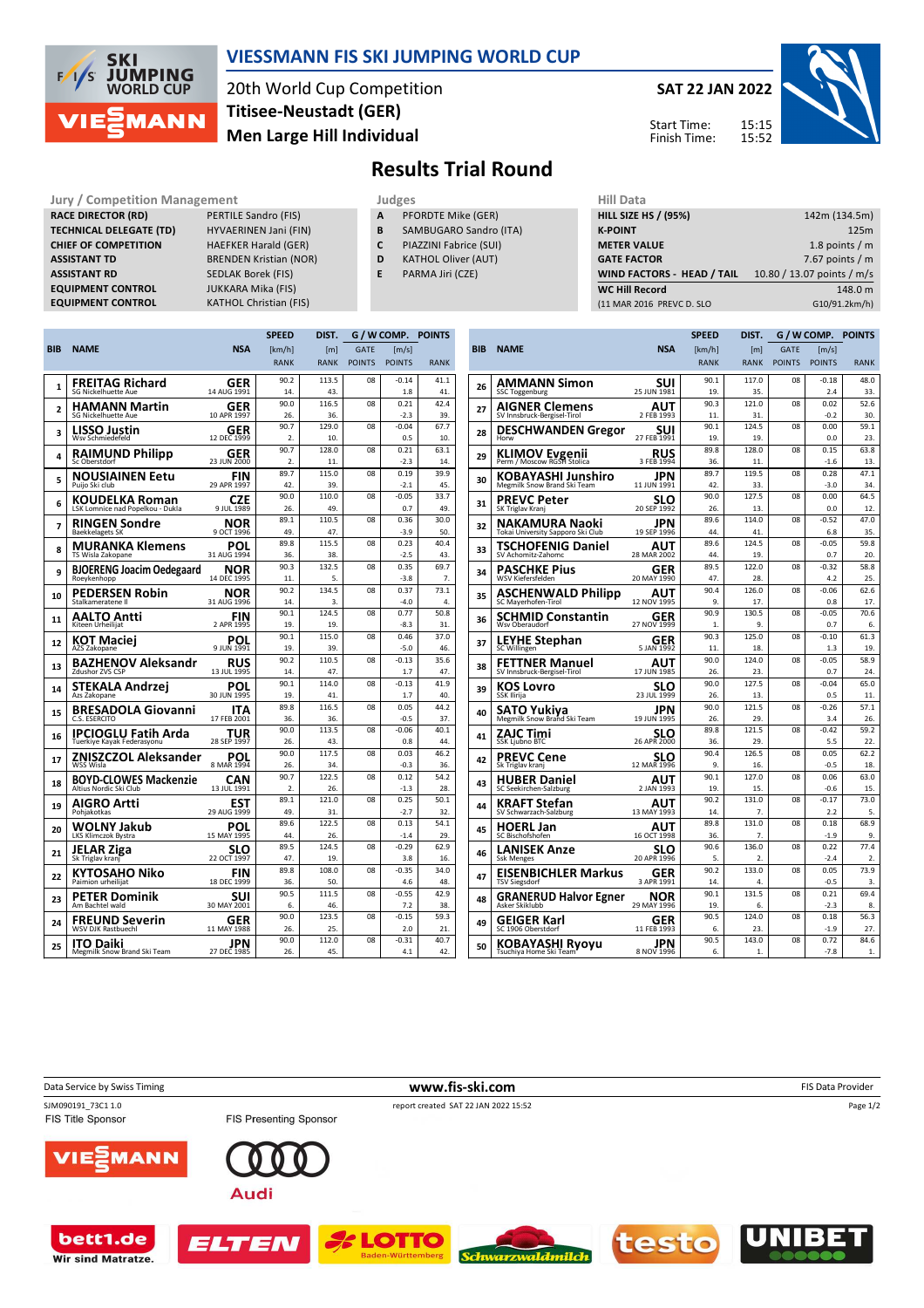

## **VIESSMANN FIS SKI JUMPING WORLD CUP**

20th World Cup Competition **Men Large Hill Individual Titisee-Neustadt (GER)**

**SAT 22 JAN 2022** 15:15 Start Time:

Finish Time:

15:52



## **Results Trial Round**

**Jury / Competition Management Judges Judges Hill Data**<br> **RACE DIRECTOR (RD)** PERTILE Sandro (FIS) **A** PFORDTE Mike (GER) **HILL SIZE RACE DIRECTOR (RD) TECHNICAL DELEGATE (TD)** HYVAERINEN Jani (FIN) **CHIEF OF COMPETITION** HAEFKER Harald (GER) **ASSISTANT TD** BRENDEN Kristian (NOR) **ASSISTANT RD** SEDLAK Borek (FIS)<br>**EQUIPMENT CONTROL** JUKKARA Mika (FIS) **EQUIPMENT CONTROL**<br>**EQUIPMENT CONTROL** 

- **A** PFORDTE Mike (GER) **B** SAMBUGARO Sandro (ITA)
- **C** PIAZZINI Fabrice (SUI)
- **D** KATHOL Oliver (AUT)
	-
- **E** PARMA Jiri (CZE)

| нш рата                     |                            |
|-----------------------------|----------------------------|
| <b>HILL SIZE HS / (95%)</b> | 142m (134.5m)              |
| <b>K-POINT</b>              | 125m                       |
| <b>METER VALUE</b>          | 1.8 points $/m$            |
| <b>GATE FACTOR</b>          | 7.67 points $/m$           |
| WIND FACTORS - HEAD / TAIL  | 10.80 / 13.07 points / m/s |
| <b>WC Hill Record</b>       | 148.0 m                    |
| (11 MAR 2016 PREVC D. SLO   | G10/91.2km/h)              |
|                             |                            |

|     |                                                 |                    | <b>SPEED</b> | DIST.        | G / W COMP.    |                | <b>POINTS</b> |  |
|-----|-------------------------------------------------|--------------------|--------------|--------------|----------------|----------------|---------------|--|
| BIB | <b>NAME</b>                                     | <b>NSA</b>         | [km/h]       | [m]          | <b>GATE</b>    | [m/s]          |               |  |
|     |                                                 |                    | <b>RANK</b>  | <b>RANK</b>  | <b>POINTS</b>  | <b>POINTS</b>  | <b>RANK</b>   |  |
|     | FREITAG Richard                                 | GER                | 90.2         | 113.5        | 08             | $-0.14$        | 41.1          |  |
| 1   | <b>SG Nickelhuette Aue</b>                      | 14 AUG 1991        | 14.          | 43.          |                | 1.8            | 41.           |  |
|     | HAMANN Martin                                   | GER                | 90.0         | 116.5        | 08             | 0.21           | 42.4          |  |
| 2   | SG Nickelhuette Aue                             | 10 APR 1997        | 26.          | 36.          |                | $-2.3$         | 39.           |  |
|     | LISSO Justin                                    | GER                | 90.7         | 129.0        | 08             | $-0.04$        | 67.7          |  |
| з   | Wsv Schmiedefeld                                | 12 DEC 1999        | 2.           | 10.          |                | 0.5            | 10.           |  |
| 4   | RAIMUND Philipp                                 | GER                | 90.7         | 128.0        | 08             | 0.21           | 63.1          |  |
|     | Sc Oberstdorf                                   | 23 JUN 2000        | 2.           | 11.          |                | $-2.3$         | 14.           |  |
| 5   | NOUSIAINEN Eetu                                 | FIN                | 89.7         | 115.0        | 08             | 0.19           | 39.9          |  |
|     | Puijo Ski club                                  | 29 APR 1997        | 42.          | 39.          |                | $-2.1$         | 45.           |  |
| 6   | KOUDELKA Roman                                  | CZE                | 90.0         | 110.0        | O <sub>8</sub> | $-0.05$        | 33.7          |  |
|     | LSK Lomnice nad Popelkou - Dukla                | 9 JUL 1989         | 26.          | 49           |                | 0 <sub>7</sub> | 49            |  |
| 7   | RINGEN Sondre                                   | NOR                | 89.1         | 110.5        | 08             | 0.36           | 30.0          |  |
|     | <b>Baekkelagets SK</b>                          | 9 OCT 1996         | 49.          | 47.          |                | $-3.9$         | 50.           |  |
| 8   | MURANKA Klemens                                 | POL                | 89.8         | 115.5        | 08             | 0.23           | 40.4          |  |
|     | TS Wisla Zakopane                               | 31 AUG 1994        | 36.          | 38.          |                | $-2.5$         | 43.           |  |
| 9   | <b>BJOERENG Joacim Oedegaard</b><br>Roeykenhopp | NOR<br>14 DEC 1995 | 90.3<br>11.  | 132.5<br>5.  | 08             | 0.35<br>$-3.8$ | 69.7<br>7.    |  |
|     |                                                 |                    |              |              |                | 0.37           |               |  |
| 10  | PEDERSEN Robin<br>Stalkameratene II             | NOR<br>31 AUG 1996 | 90.2<br>14.  | 134.5<br>3.  | 08             | $-4.0$         | 73.1<br>4.    |  |
|     |                                                 |                    | 90.1         | 124.5        | 08             | 0.77           | 50.8          |  |
| 11  | AALTO Antti<br>Kiteen Urheilijat                | FIN<br>2 APR 1995  | 19.          | 19.          |                | $-8.3$         | 31.           |  |
|     |                                                 |                    | 90.1         | 115.0        | 08             | 0.46           | 37.0          |  |
| 12  | KOT Maciei<br>AZS Zakopane                      | POL<br>9 JUN 1991  | 19.          | 39.          |                | $-5.0$         | 46.           |  |
|     |                                                 |                    | 90.2         | 110.5        | 08             | $-0.13$        | 35.6          |  |
| 13  | BAZHENOV Aleksandr<br>Zdushor ZVS CSP           | RUS<br>13 JUL 1995 | 14.          | 47.          |                | 1.7            | 47.           |  |
|     | STEKALA Andrzej                                 | POL                | 90.1         | 114.0        | 08             | $-0.13$        | 41.9          |  |
| 14  | Azs Zakopane                                    | 30 JUN 1995        | 19.          | 41.          |                | 1.7            | 40.           |  |
| 15  | <b>BRESADOLA Giovanni</b>                       | ITA                | 89.8         | 116.5        | 08             | 0.05           | 44.2          |  |
|     | C.S. ESERCITO                                   | 17 FEB 2001        | 36.          | 36.          |                | $-0.5$         | 37.           |  |
| 16  | IPCIOGLU Fatih Arda                             | TUR                | 90.0         | 113.5        | 08             | $-0.06$        | 40.1          |  |
|     | Tuerkiye Kayak Federasyonu                      | 28 SEP 1997        | 26.          | 43.          |                | 0.8            | 44.           |  |
| 17  | ZNISZCZOL Aleksander                            | POL                | 90.0         | 117.5        | 08             | 0.03           | 46.2          |  |
|     | WSS Wisla                                       | 8 MAR 1994         | 26.          | 34           |                | $-0.3$         | 36.           |  |
| 18  | <b>BOYD-CLOWES Mackenzie</b>                    | CAN                | 90.7         | 122.5        | 08             | 0.12           | 54.2          |  |
|     | Altius Nordic Ski Club                          | 13 JUL 1991        | 2.           | 26.          |                | $-1.3$         | 28.           |  |
| 19  | AIGRO Artti                                     | EST                | 89.1         | 121.0        | 08             | 0.25           | 50.1          |  |
|     | Pohjakotkas                                     | 29 AUG 1999        | 49.<br>89.6  | 31.<br>122.5 | 08             | $-2.7$<br>0.13 | 32.<br>54.1   |  |
| 20  | WOLNY Jakub<br>LKS Klimczok Bystra              | POL<br>15 MAY 1995 | 44.          | 26.          |                | $-1.4$         | 29.           |  |
|     |                                                 |                    | 89.5         | 124.5        | 08             | $-0.29$        | 62.9          |  |
| 21  | JELAR Ziga<br>Sk Triglav kranj                  | SLO<br>22 OCT 1997 | 47.          | 19.          |                | 3.8            | 16            |  |
|     |                                                 |                    | 89.8         | 108.0        | 08             | $-0.35$        | 34.0          |  |
| 22  | KYTOSAHO Niko<br>Paimion urheilijat             | FIN<br>18 DEC 1999 | 36.          | 50.          |                | 4.6            | 48.           |  |
|     | PETER Dominik                                   | SUI                | 90.5         | 111.5        | 08             | $-0.55$        | 42.9          |  |
| 23  | Am Bachtel wald                                 | 30 MAY 2001        | 6.           | 46.          |                | 7.2            | 38.           |  |
|     | <b>FREUND Severin</b>                           | GER                | 90.0         | 123.5        | 08             | $-0.15$        | 59.3          |  |
| 24  | <b>WSV DJK Rastbuechl</b>                       | 11 MAY 1988        | 26.          | 25.          |                | 2.0            | 21.           |  |
|     | ITO Daiki                                       | JPN                | 90.0         | 112.0        | 08             | $-0.31$        | 40.7          |  |
| 25  | Megmilk Snow Brand Ski Team                     | 27 DEC 1985        | 26.          | 45.          |                | 4.1            | 42.           |  |
|     |                                                 |                    |              |              |                |                |               |  |

**KATHOL Christian (FIS)** 

|            |                                               |                    | <b>SPEED</b> | DIST.            | G / W COMP.   |                | <b>POINTS</b>    |
|------------|-----------------------------------------------|--------------------|--------------|------------------|---------------|----------------|------------------|
| <b>BIB</b> | <b>NAME</b>                                   | <b>NSA</b>         | [km/h]       | [ml]             | <b>GATE</b>   | [m/s]          |                  |
|            |                                               |                    | <b>RANK</b>  | <b>RANK</b>      | <b>POINTS</b> | <b>POINTS</b>  | <b>RANK</b>      |
| 26         | AMMANN Simon                                  | suı                | 90.1         | 117.0            | 08            | $-0.18$        | 48.0             |
|            | SSC Toggenburg                                | 25 JUN 1981        | 19.          | 35.              |               | 2.4            | 33.              |
| 27         | AIGNER Clemens                                | AUT                | 90.3         | 121.0            | 08            | 0.02           | 52.6             |
|            | SV Innsbruck-Bergisel-Tirol                   | 2 FEB 1993         | 11.          | 31.              |               | $-0.2$         | 30.              |
| 28         | <b>DESCHWANDEN Gregor</b><br>Horw             | suı<br>27 FEB 1991 | 90.1<br>19.  | 124.5<br>19.     | 08            | 0.00<br>0.0    | 59.1<br>23.      |
| 29         |                                               | RUS                | 89.8         | 128.0            | 08            | 0.15           | 63.8             |
|            | KLIMOV Evgenii<br>Perm / Moscow RGSH Stolica  | 3 FEB 1994         | 36.          | 11.              |               | $-1.6$         | 13.              |
| 30         | KOBAYASHI Junshiro                            | JPN                | 89.7         | 119.5            | 08            | 0.28           | 47.1             |
|            | Megmilk Snow Brand Ski Team                   | 11 JUN 1991        | 42.          | 33.              |               | $-3.0$         | 34.              |
| 31         | PREVC Peter                                   | SLO                | 90.0         | 127.5            | 08            | 0.00           | 64.5             |
|            | SK Triglav Kranj                              | 20 SEP 1992        | 26.          | 13.              |               | 0.0            | 12.              |
| 32         | NAKAMURA Naoki                                | JPN                | 89.6         | 114.0            | 08            | $-0.52$        | 47.0             |
|            | Tokai University Sapporo Ski Club             | 19 SEP 1996        | 44.          | 41.              |               | 6.8            | 35.              |
| 33         | TSCHOFENIG Daniel                             | AUT                | 89.6         | 124.5            | 08            | $-0.05$        | 59.8             |
|            | SV Achomitz-Zahomc                            | 28 MAR 2002        | 44.          | 19.              |               | 0.7            | 20.              |
| 34         | PASCHKE Pius                                  | GER                | 89.5         | 122.0            | 08            | $-0.32$        | 58.8             |
|            | WSV Kiefersfelden                             | 20 MAY 1990        | 47.          | 28.              |               | 4.2            | 25.              |
| 35         | <b>ASCHENWALD Philipp</b>                     | AUT                | 90.4         | 126.0            | 08            | $-0.06$        | 62.6             |
|            | SC Mayerhofen-Tirol                           | 12 NOV 1995        | 9.           | 17.              |               | 0.8            | 17.              |
| 36         | SCHMID Constantin                             | GER                | 90.9         | 130.5            | 08            | $-0.05$        | 70.6             |
|            | Wsv Oberaudorf                                | 27 NOV 1999        | 1.           | 9.               |               | 0.7            | 6.               |
| 37         | LEYHE Stephan                                 | GER                | 90.3         | 125.0            | 08            | $-0.10$        | 61.3             |
|            | SC Willingen                                  | 5 JAN 1992         | 11.          | 18.              |               | 1.3            | 19.              |
| 38         | <b>FETTNER Manuel</b>                         | AUT                | 90.0         | 124.0            | 08            | $-0.05$        | 58.9             |
|            | SV Innsbruck-Bergisel-Tirol                   | 17 JUN 1985        | 26.          | 23.              |               | 0.7            | 24.              |
| 39         | KOS Lovro                                     | SLO                | 90.0         | 127.5            | 08            | $-0.04$        | 65.0             |
|            | SSK Ilirija                                   | 23 JUL 1999        | 26.          | 13.              |               | 0.5            | 11.              |
| 40         | SATO Yukiya                                   | JPN                | 90.0         | 121.5            | 08            | $-0.26$        | 57.1             |
|            | Megmilk Snow Brand Ski Team                   | 19 JUN 1995        | 26.<br>89.8  | 29.<br>121.5     | 08            | 3.4<br>$-0.42$ | 26.<br>59.2      |
| 41         | ZAJC Timi<br><b>SSK Ljubno BTC</b>            | SLO<br>26 APR 2000 | 36.          | 29.              |               | 5.5            | 22.              |
|            |                                               |                    | 90.4         | 126.5            | 08            | 0.05           | 62.2             |
| 42         | PREVC Cene<br>Sk Triglav kranj                | SLO<br>12 MAR 1996 | 9.           | 16.              |               | $-0.5$         | 18.              |
|            |                                               |                    | 90.1         | 127.0            | 08            | 0.06           | 63.0             |
| 43         | <b>HUBER Daniel</b><br>SC Seekirchen-Salzburg | AUT<br>2 JAN 1993  | 19.          | 15.              |               | $-0.6$         | 15.              |
|            | KRAFT Stefan                                  | AUT                | 90.2         | 131.0            | 08            | $-0.17$        | 73.0             |
| 44         | SV Schwarzach-Salzburg                        | 13 MAY 1993        | 14.          | 7.               |               | 2.2            | 5.               |
|            | <b>HOERL Jan</b>                              | AUT                | 89.8         | 131.0            | 08            | 0.18           | 68.9             |
| 45         | SC Bischofshofen                              | 16 OCT 1998        | 36.          | 7.               |               | $-1.9$         | 9.               |
|            | LANISEK Anze                                  | SLO                | 90.6         | 136.0            | 08            | 0.22           | 77.4             |
| 46         | <b>Ssk Menges</b>                             | 20 APR 1996        | 5.           | $\overline{2}$ . |               | $-2.4$         | $\overline{2}$ . |
|            | EISENBICHLER Markus                           | GER                | 90.2         | 133.0            | 08            | 0.05           | 73.9             |
| 47         | <b>TSV Siegsdorf</b>                          | 3 APR 1991         | 14.          | 4.               |               | $-0.5$         | 3.               |
|            | <b>GRANERUD Halvor Egner</b>                  | NOR                | 90.1         | 131.5            | 08            | 0.21           | 69.4             |
| 48         | Asker Skiklubb                                | 29 MAY 1996        | 19.          | 6.               |               | $-2.3$         | 8.               |
| 49         | GEIGER Karl                                   | GER                | 90.5         | 124.0            | 08            | 0.18           | 56.3             |
|            | SC 1906 Oberstdorf                            | 11 FEB 1993        | 6.           | 23.              |               | $-1.9$         | 27.              |
| 50         | KOBAYASHI Ryoyu                               | JPN                | 90.5         | 143.0            | 08            | 0.72           | 84.6             |
|            | Tsuchiya Home Ski Team                        | 8 NOV 1996         | 6.           | 1.               |               | $-7.8$         | 1.               |